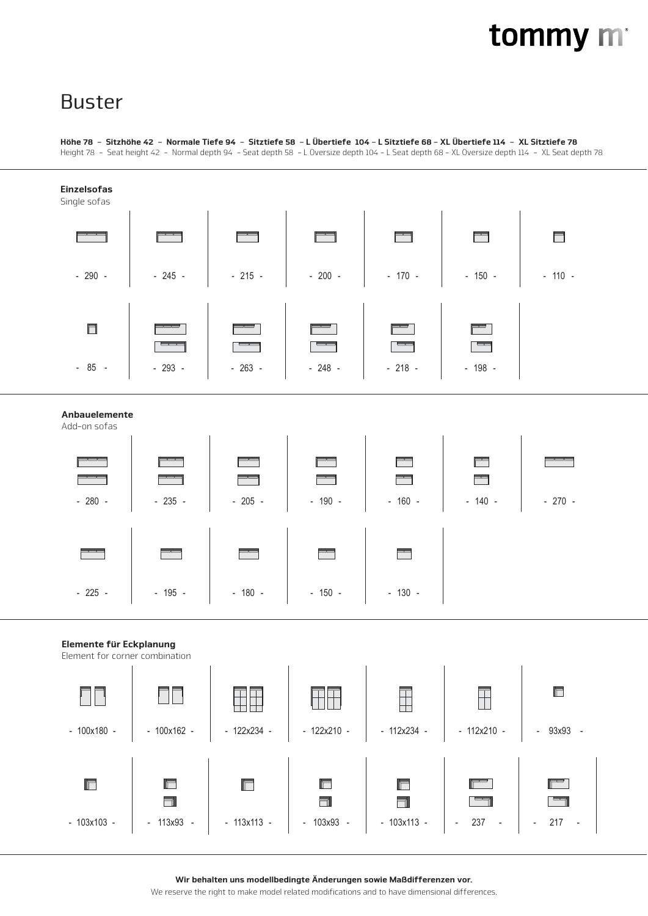# tommy m

## Buster

#### Höhe 78 - Sitzhöhe 42 - Normale Tiefe 94 - Sitztiefe 58 - L Übertiefe 104 - L Sitztiefe 68 - XL Übertiefe 114 - XL Sitztiefe 78 Height 78 - Seat height 42 - Normal depth 94 - Seat depth 58 - L Oversize depth 104 - L Seat depth 68 - XL Oversize depth 114 - XL Seat depth 78



Wir behalten uns modellbedingte Änderungen sowie Maßdifferenzen vor.

We reserve the right to make model related modifications and to have dimensional differences.